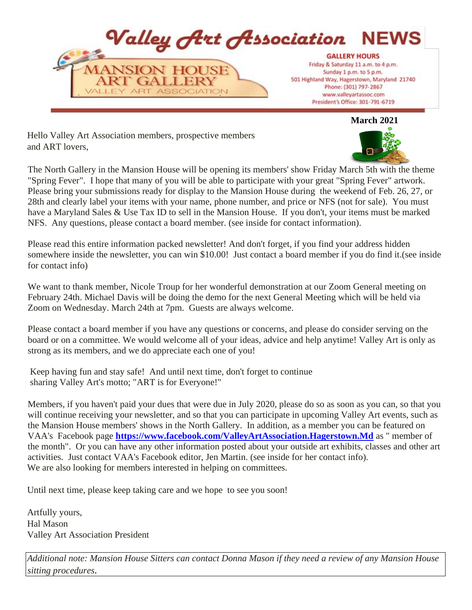

**March 2021** 

Hello Valley Art Association members, prospective members and ART lovers,



The North Gallery in the Mansion House will be opening its members' show Friday March 5th with the theme "Spring Fever". I hope that many of you will be able to participate with your great "Spring Fever" artwork. Please bring your submissions ready for display to the Mansion House during the weekend of Feb. 26, 27, or 28th and clearly label your items with your name, phone number, and price or NFS (not for sale). You must have a Maryland Sales & Use Tax ID to sell in the Mansion House. If you don't, your items must be marked NFS. Any questions, please contact a board member. (see inside for contact information).

Please read this entire information packed newsletter! And don't forget, if you find your address hidden somewhere inside the newsletter, you can win \$10.00! Just contact a board member if you do find it.(see inside for contact info)

We want to thank member, Nicole Troup for her wonderful demonstration at our Zoom General meeting on February 24th. Michael Davis will be doing the demo for the next General Meeting which will be held via Zoom on Wednesday. March 24th at 7pm. Guests are always welcome.

Please contact a board member if you have any questions or concerns, and please do consider serving on the board or on a committee. We would welcome all of your ideas, advice and help anytime! Valley Art is only as strong as its members, and we do appreciate each one of you!

Keep having fun and stay safe! And until next time, don't forget to continue sharing Valley Art's motto; "ART is for Everyone!"

Members, if you haven't paid your dues that were due in July 2020, please do so as soon as you can, so that you will continue receiving your newsletter, and so that you can participate in upcoming Valley Art events, such as the Mansion House members' shows in the North Gallery. In addition, as a member you can be featured on VAA's Facebook page **<https://www.facebook.com/ValleyArtAssociation.Hagerstown.Md>** [a](https://www.facebook.com/ValleyArtAssociation.Hagerstown.Md)s " member of the month". Or you can have any other information posted about your outside art exhibits, classes and other art activities. Just contact VAA's Facebook editor, Jen Martin. (see inside for her contact info). We are also looking for members interested in helping on committees.

Until next time, please keep taking care and we hope to see you soon!

Artfully yours, Hal Mason Valley Art Association President

*Additional note: Mansion House Sitters can contact Donna Mason if they need a review of any Mansion House sitting procedures.*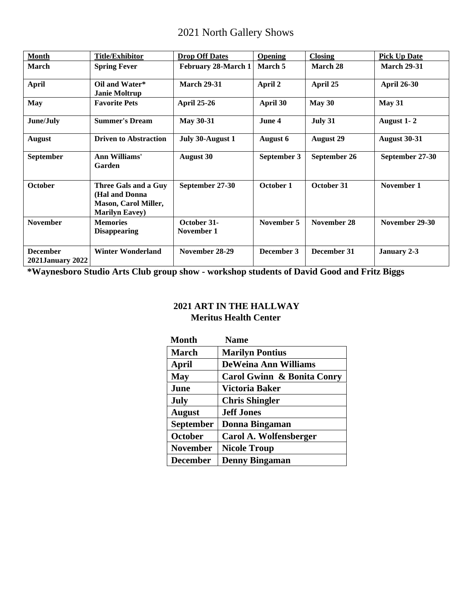# 2021 North Gallery Shows

| <b>Month</b>                               | <b>Title/Exhibitor</b>                                                                          | <b>Drop Off Dates</b>     | <b>Opening</b>  | <b>Closing</b>   | <b>Pick Up Date</b> |
|--------------------------------------------|-------------------------------------------------------------------------------------------------|---------------------------|-----------------|------------------|---------------------|
| March                                      | <b>Spring Fever</b>                                                                             | February 28-March 1       | March 5         | March 28         | <b>March 29-31</b>  |
| <b>April</b>                               | Oil and Water*<br><b>Janie Moltrup</b>                                                          | <b>March 29-31</b>        | April 2         | April 25         | <b>April 26-30</b>  |
| <b>May</b>                                 | <b>Favorite Pets</b>                                                                            | <b>April 25-26</b>        | April 30        | May 30           | May 31              |
| June/July                                  | <b>Summer's Dream</b>                                                                           | <b>May 30-31</b>          | June 4          | July 31          | August 1-2          |
| <b>August</b>                              | <b>Driven to Abstraction</b>                                                                    | July 30-August 1          | <b>August 6</b> | <b>August 29</b> | <b>August 30-31</b> |
| September                                  | Ann Williams'<br>Garden                                                                         | <b>August 30</b>          | September 3     | September 26     | September 27-30     |
| <b>October</b>                             | Three Gals and a Guy<br>(Hal and Donna<br><b>Mason, Carol Miller,</b><br><b>Marilyn Eavey</b> ) | September 27-30           | October 1       | October 31       | November 1          |
| <b>November</b>                            | <b>Memories</b><br><b>Disappearing</b>                                                          | October 31-<br>November 1 | November 5      | November 28      | November 29-30      |
| <b>December</b><br><b>2021January 2022</b> | <b>Winter Wonderland</b>                                                                        | November 28-29            | December 3      | December 31      | January 2-3         |

**\*Waynesboro Studio Arts Club group show - workshop students of David Good and Fritz Biggs** 

#### **2021 ART IN THE HALLWAY Meritus Health Center**

| <b>Month</b>     | <b>Name</b>                 |
|------------------|-----------------------------|
| <b>March</b>     | <b>Marilyn Pontius</b>      |
| April            | <b>DeWeina Ann Williams</b> |
| <b>May</b>       | Carol Gwinn & Bonita Conry  |
| June             | Victoria Baker              |
| <b>July</b>      | <b>Chris Shingler</b>       |
| <b>August</b>    | <b>Jeff Jones</b>           |
| <b>September</b> | Donna Bingaman              |
| <b>October</b>   | Carol A. Wolfensberger      |
| <b>November</b>  | <b>Nicole Troup</b>         |
| <b>December</b>  | <b>Denny Bingaman</b>       |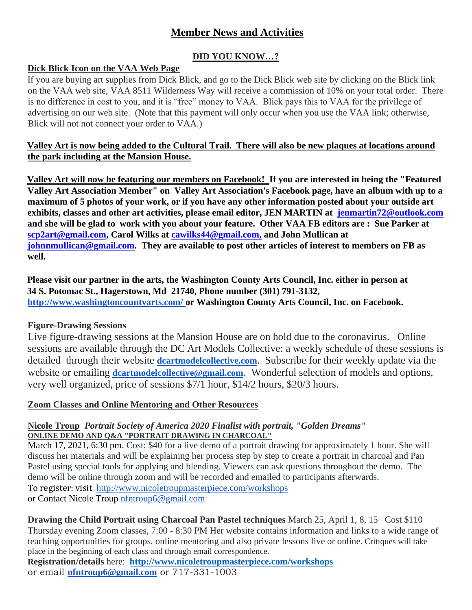# **Member News and Activities**

# **DID YOU KNOW…?**

#### **Dick Blick Icon on the VAA Web Page**

If you are buying art supplies from Dick Blick, and go to the Dick Blick web site by clicking on the Blick link on the VAA web site, VAA 8511 Wilderness Way will receive a commission of 10% on your total order. There is no difference in cost to you, and it is "free" money to VAA. Blick pays this to VAA for the privilege of advertising on our web site. (Note that this payment will only occur when you use the VAA link; otherwise, Blick will not not connect your order to VAA.)

#### **Valley Art is now being added to the Cultural Trail. There will also be new plaques at locations around the park including at the Mansion House.**

**Valley Art will now be featuring our members on Facebook! If you are interested in being the "Featured Valley Art Association Member" on Valley Art Association's Facebook page, have an album with up to a maximum of 5 photos of your work, or if you have any other information posted about your outside art exhibits, classes and other art activities, please email editor, JEN MARTIN at jenmartin72@outlook.com and she will be glad to work with you about your feature. Other VAA FB editors are : Sue Parker at scp2art@gmail.com, Carol Wilks at cawilks44@gmail.com, and John Mullican at johnnmullican@gmail.com. They are available to post other articles of interest to members on FB as well.** 

**Please visit our partner in the arts, the Washington County Arts Council, Inc. either in person at 34 S. Potomac St., Hagerstown, Md 21740, Phone number (301) 791-3132, <http://www.washingtoncountyarts.com/> [o](http://www.washingtoncountyarts.com/)r Washington County Arts Council, Inc. on Facebook.** 

# **Figure-Drawing Sessions**

Live figure-drawing sessions at the Mansion House are on hold due to the coronavirus. Online sessions are available through the DC Art Models Collective: a weekly schedule of these sessions is detailed through their website **[dcartmodelcollective.com](http://dcartmodelcollective.com/)**. Subscribe for their weekly update via the website or emailing **[dcartmodelcollective@gmail.com](mailto:dcartmodelcollective@gmail.com)**. Wonderful selection of models and options, very well organized, price of sessions \$7/1 hour, \$14/2 hours, \$20/3 hours.

# **Zoom Classes and Online Mentoring and Other Resources**

#### **Nicole Troup** *Portrait Society of America 2020 Finalist with portrait, "Golden Dreams"* **ONLINE DEMO AND Q&A "PORTRAIT DRAWING IN CHARCOAL"**

March 17, 2021, 6:30 pm. Cost: \$40 for a live demo of a portrait drawing for approximately 1 hour. She will discuss her materials and will be explaining her process step by step to create a portrait in charcoal and Pan Pastel using special tools for applying and blending. Viewers can ask questions throughout the demo. The demo will be online through zoom and will be recorded and emailed to participants afterwards. To register: visit <http://www.nicoletroupmasterpiece.com/workshops> or Contact Nicole Troup [nfntroup6@gmail.com](mailto:nfntroup6@gmail.com)

**Drawing the Child Portrait using Charcoal Pan Pastel techniques** March 25, April 1, 8, 15 Cost \$110 Thursday evening Zoom classes, 7:00 - 8:30 PM Her website contains information and links to a wide range of teaching opportunities for groups, online mentoring and also private lessons live or online. Critiques will take place in the beginning of each class and through email correspondence.

**Registration/details** here: **<http://www.nicoletroupmasterpiece.com/workshops>** or email **[nfntroup6@gmail.com](mailto:nfntroup6@gmail.com)** or 717-331-1003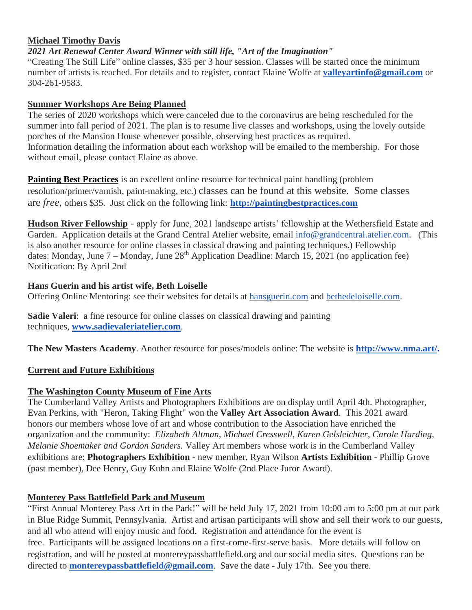# **Michael Timothy Davis**

*2021 Art Renewal Center Award Winner with still life, "Art of the Imagination"*

"Creating The Still Life" online classes, \$35 per 3 hour session. Classes will be started once the minimum number of artists is reached. For details and to register, contact Elaine Wolfe at **[valleyartinfo@gmail.com](mailto:valleyartinfo@gmail.com)** or 304-261-9583.

#### **Summer Workshops Are Being Planned**

The series of 2020 workshops which were canceled due to the coronavirus are being rescheduled for the summer into fall period of 2021. The plan is to resume live classes and workshops, using the lovely outside porches of the Mansion House whenever possible, observing best practices as required. Information detailing the information about each workshop will be emailed to the membership. For those without email, please contact Elaine as above.

**Painting Best Practices** is an excellent online resource for technical paint handling (problem resolution/primer/varnish, paint-making, etc.) classes can be found at this website. Some classes are *free*, others \$35. Just click on the following link: **[http://paintingbestpractices.com](http://paintingbestpractices.com/)**

**Hudson River Fellowship** - apply for June, 2021 landscape artists' fellowship at the Wethersfield Estate and Garden. Application details at the Grand Central Atelier website, email [info@grandcentral.atelier.com.](mailto:info@grandcentral.atelier.com) (This is also another resource for online classes in classical drawing and painting techniques.) Fellowship dates: Monday, June  $7 -$  Monday, June  $28<sup>th</sup>$  Application Deadline: March 15, 2021 (no application fee) Notification: By April 2nd

#### **Hans Guerin and his artist wife, Beth Loiselle**

Offering Online Mentoring: see their websites for details at [hansguerin.com](http://hansguerin.com/) and [bethedeloiselle.com.](http://bethedeloiselle.com/)

**Sadie Valeri**: a fine resource for online classes on classical drawing and painting techniques, **[www.sadievaleriatelier.com](http://www.sadievaleriatelier.com/)**.

**The New Masters Academy**. Another resource for poses/models online: The website is **[http://www.nma.art/.](http://www.nma.art/)**

# **Current and Future Exhibitions**

# **The Washington County Museum of Fine Arts**

The Cumberland Valley Artists and Photographers Exhibitions are on display until April 4th. Photographer, Evan Perkins, with "Heron, Taking Flight" won the **Valley Art Association Award**. This 2021 award honors our members whose love of art and whose contribution to the Association have enriched the organization and the community: *Elizabeth Altman, Michael Cresswell, Karen Gelsleichter, Carole Harding, Melanie Shoemaker and Gordon Sanders.* Valley Art members whose work is in the Cumberland Valley exhibitions are: **Photographers Exhibition** - new member, Ryan Wilson **Artists Exhibition** - Phillip Grove (past member), Dee Henry, Guy Kuhn and Elaine Wolfe (2nd Place Juror Award).

# **Monterey Pass Battlefield Park and Museum**

"First Annual Monterey Pass Art in the Park!" will be held July 17, 2021 from 10:00 am to 5:00 pm at our park in Blue Ridge Summit, Pennsylvania. Artist and artisan participants will show and sell their work to our guests, and all who attend will enjoy music and food. Registration and attendance for the event is free. Participants will be assigned locations on a first-come-first-serve basis. More details will follow on registration, and will be posted at [montereypassbattlefield.org](http://montereypassbattlefield.org/) and our social media sites. Questions can be directed to **[montereypassbattlefield@gmail.com](mailto:montereypassbattlefield@gmail.com)**. Save the date - July 17th. See you there.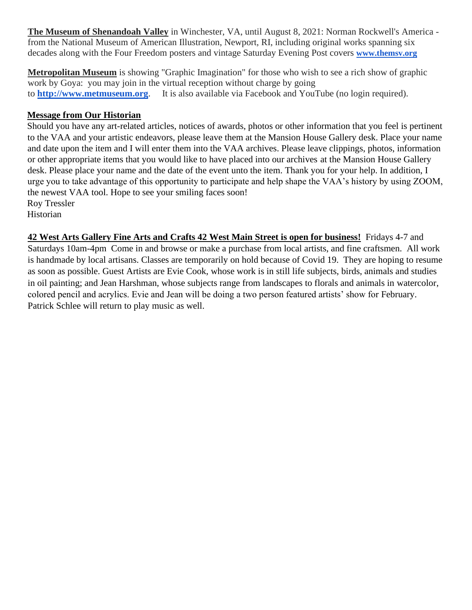**The Museum of Shenandoah Valley** in Winchester, VA, until August 8, 2021: Norman Rockwell's America from the National Museum of American Illustration, Newport, RI, including original works spanning six decades along with the Four Freedom posters and vintage Saturday Evening Post covers **[www.themsv.org](http://www.themsv.org/)**

**Metropolitan Museum** is showing "Graphic Imagination" for those who wish to see a rich show of graphic work by Goya: you may join in the virtual reception without charge by going to **[http://www.metmuseum.org](http://www.metmuseum.org./)**. It is also available via Facebook and YouTube (no login required).

#### **Message from Our Historian**

Should you have any art-related articles, notices of awards, photos or other information that you feel is pertinent to the VAA and your artistic endeavors, please leave them at the Mansion House Gallery desk. Place your name and date upon the item and I will enter them into the VAA archives. Please leave clippings, photos, information or other appropriate items that you would like to have placed into our archives at the Mansion House Gallery desk. Please place your name and the date of the event unto the item. Thank you for your help. In addition, I urge you to take advantage of this opportunity to participate and help shape the VAA's history by using ZOOM, the newest VAA tool. Hope to see your smiling faces soon!

Roy Tressler Historian

**42 West Arts Gallery Fine Arts and Crafts 42 West Main Street is open for business!** Fridays 4-7 and Saturdays 10am-4pm Come in and browse or make a purchase from local artists, and fine craftsmen. All work is handmade by local artisans. Classes are temporarily on hold because of Covid 19. They are hoping to resume as soon as possible. Guest Artists are Evie Cook, whose work is in still life subjects, birds, animals and studies in oil painting; and Jean Harshman, whose subjects range from landscapes to florals and animals in watercolor, colored pencil and acrylics. Evie and Jean will be doing a two person featured artists' show for February. Patrick Schlee will return to play music as well.